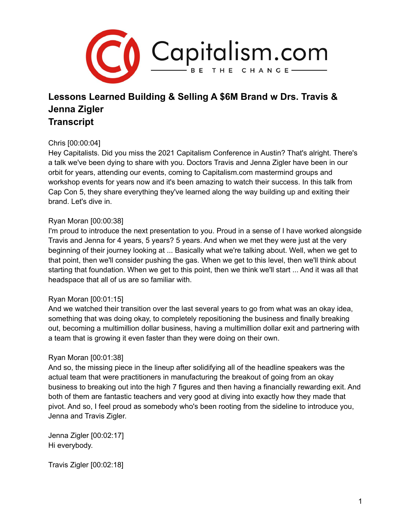

# **Lessons Learned Building & Selling A \$6M Brand w Drs. Travis & Jenna Zigler Transcript**

### Chris [00:00:04]

Hey Capitalists. Did you miss the 2021 Capitalism Conference in Austin? That's alright. There's a talk we've been dying to share with you. Doctors Travis and Jenna Zigler have been in our orbit for years, attending our events, coming to Capitalism.com mastermind groups and workshop events for years now and it's been amazing to watch their success. In this talk from Cap Con 5, they share everything they've learned along the way building up and exiting their brand. Let's dive in.

### Ryan Moran [00:00:38]

I'm proud to introduce the next presentation to you. Proud in a sense of I have worked alongside Travis and Jenna for 4 years, 5 years? 5 years. And when we met they were just at the very beginning of their journey looking at ... Basically what we're talking about. Well, when we get to that point, then we'll consider pushing the gas. When we get to this level, then we'll think about starting that foundation. When we get to this point, then we think we'll start ... And it was all that headspace that all of us are so familiar with.

### Ryan Moran [00:01:15]

And we watched their transition over the last several years to go from what was an okay idea, something that was doing okay, to completely repositioning the business and finally breaking out, becoming a multimillion dollar business, having a multimillion dollar exit and partnering with a team that is growing it even faster than they were doing on their own.

### Ryan Moran [00:01:38]

And so, the missing piece in the lineup after solidifying all of the headline speakers was the actual team that were practitioners in manufacturing the breakout of going from an okay business to breaking out into the high 7 figures and then having a financially rewarding exit. And both of them are fantastic teachers and very good at diving into exactly how they made that pivot. And so, I feel proud as somebody who's been rooting from the sideline to introduce you, Jenna and Travis Zigler.

Jenna Zigler [00:02:17] Hi everybody.

Travis Zigler [00:02:18]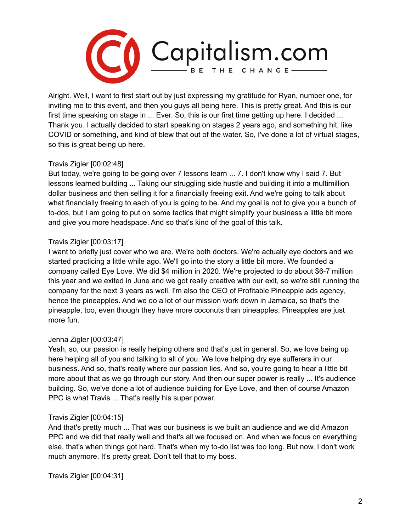

Alright. Well, I want to first start out by just expressing my gratitude for Ryan, number one, for inviting me to this event, and then you guys all being here. This is pretty great. And this is our first time speaking on stage in ... Ever. So, this is our first time getting up here. I decided ... Thank you. I actually decided to start speaking on stages 2 years ago, and something hit, like COVID or something, and kind of blew that out of the water. So, I've done a lot of virtual stages, so this is great being up here.

# Travis Zigler [00:02:48]

But today, we're going to be going over 7 lessons learn ... 7. I don't know why I said 7. But lessons learned building ... Taking our struggling side hustle and building it into a multimillion dollar business and then selling it for a financially freeing exit. And we're going to talk about what financially freeing to each of you is going to be. And my goal is not to give you a bunch of to-dos, but I am going to put on some tactics that might simplify your business a little bit more and give you more headspace. And so that's kind of the goal of this talk.

# Travis Zigler [00:03:17]

I want to briefly just cover who we are. We're both doctors. We're actually eye doctors and we started practicing a little while ago. We'll go into the story a little bit more. We founded a company called Eye Love. We did \$4 million in 2020. We're projected to do about \$6-7 million this year and we exited in June and we got really creative with our exit, so we're still running the company for the next 3 years as well. I'm also the CEO of Profitable Pineapple ads agency, hence the pineapples. And we do a lot of our mission work down in Jamaica, so that's the pineapple, too, even though they have more coconuts than pineapples. Pineapples are just more fun.

### Jenna Zigler [00:03:47]

Yeah, so, our passion is really helping others and that's just in general. So, we love being up here helping all of you and talking to all of you. We love helping dry eye sufferers in our business. And so, that's really where our passion lies. And so, you're going to hear a little bit more about that as we go through our story. And then our super power is really ... It's audience building. So, we've done a lot of audience building for Eye Love, and then of course Amazon PPC is what Travis ... That's really his super power.

### Travis Zigler [00:04:15]

And that's pretty much ... That was our business is we built an audience and we did Amazon PPC and we did that really well and that's all we focused on. And when we focus on everything else, that's when things got hard. That's when my to-do list was too long. But now, I don't work much anymore. It's pretty great. Don't tell that to my boss.

Travis Zigler [00:04:31]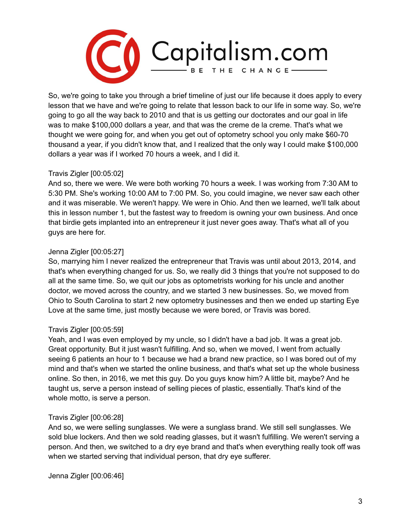

So, we're going to take you through a brief timeline of just our life because it does apply to every lesson that we have and we're going to relate that lesson back to our life in some way. So, we're going to go all the way back to 2010 and that is us getting our doctorates and our goal in life was to make \$100,000 dollars a year, and that was the creme de la creme. That's what we thought we were going for, and when you get out of optometry school you only make \$60-70 thousand a year, if you didn't know that, and I realized that the only way I could make \$100,000 dollars a year was if I worked 70 hours a week, and I did it.

#### Travis Zigler [00:05:02]

And so, there we were. We were both working 70 hours a week. I was working from 7:30 AM to 5:30 PM. She's working 10:00 AM to 7:00 PM. So, you could imagine, we never saw each other and it was miserable. We weren't happy. We were in Ohio. And then we learned, we'll talk about this in lesson number 1, but the fastest way to freedom is owning your own business. And once that birdie gets implanted into an entrepreneur it just never goes away. That's what all of you guys are here for.

#### Jenna Zigler [00:05:27]

So, marrying him I never realized the entrepreneur that Travis was until about 2013, 2014, and that's when everything changed for us. So, we really did 3 things that you're not supposed to do all at the same time. So, we quit our jobs as optometrists working for his uncle and another doctor, we moved across the country, and we started 3 new businesses. So, we moved from Ohio to South Carolina to start 2 new optometry businesses and then we ended up starting Eye Love at the same time, just mostly because we were bored, or Travis was bored.

### Travis Zigler [00:05:59]

Yeah, and I was even employed by my uncle, so I didn't have a bad job. It was a great job. Great opportunity. But it just wasn't fulfilling. And so, when we moved, I went from actually seeing 6 patients an hour to 1 because we had a brand new practice, so I was bored out of my mind and that's when we started the online business, and that's what set up the whole business online. So then, in 2016, we met this guy. Do you guys know him? A little bit, maybe? And he taught us, serve a person instead of selling pieces of plastic, essentially. That's kind of the whole motto, is serve a person.

#### Travis Zigler [00:06:28]

And so, we were selling sunglasses. We were a sunglass brand. We still sell sunglasses. We sold blue lockers. And then we sold reading glasses, but it wasn't fulfilling. We weren't serving a person. And then, we switched to a dry eye brand and that's when everything really took off was when we started serving that individual person, that dry eye sufferer.

Jenna Zigler [00:06:46]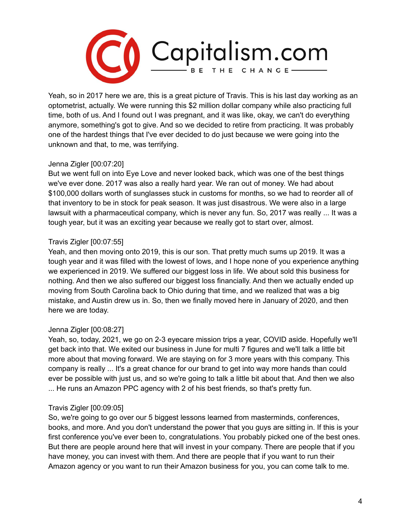

Yeah, so in 2017 here we are, this is a great picture of Travis. This is his last day working as an optometrist, actually. We were running this \$2 million dollar company while also practicing full time, both of us. And I found out I was pregnant, and it was like, okay, we can't do everything anymore, something's got to give. And so we decided to retire from practicing. It was probably one of the hardest things that I've ever decided to do just because we were going into the unknown and that, to me, was terrifying.

# Jenna Zigler [00:07:20]

But we went full on into Eye Love and never looked back, which was one of the best things we've ever done. 2017 was also a really hard year. We ran out of money. We had about \$100,000 dollars worth of sunglasses stuck in customs for months, so we had to reorder all of that inventory to be in stock for peak season. It was just disastrous. We were also in a large lawsuit with a pharmaceutical company, which is never any fun. So, 2017 was really ... It was a tough year, but it was an exciting year because we really got to start over, almost.

# Travis Zigler [00:07:55]

Yeah, and then moving onto 2019, this is our son. That pretty much sums up 2019. It was a tough year and it was filled with the lowest of lows, and I hope none of you experience anything we experienced in 2019. We suffered our biggest loss in life. We about sold this business for nothing. And then we also suffered our biggest loss financially. And then we actually ended up moving from South Carolina back to Ohio during that time, and we realized that was a big mistake, and Austin drew us in. So, then we finally moved here in January of 2020, and then here we are today.

### Jenna Zigler [00:08:27]

Yeah, so, today, 2021, we go on 2-3 eyecare mission trips a year, COVID aside. Hopefully we'll get back into that. We exited our business in June for multi 7 figures and we'll talk a little bit more about that moving forward. We are staying on for 3 more years with this company. This company is really ... It's a great chance for our brand to get into way more hands than could ever be possible with just us, and so we're going to talk a little bit about that. And then we also ... He runs an Amazon PPC agency with 2 of his best friends, so that's pretty fun.

### Travis Zigler [00:09:05]

So, we're going to go over our 5 biggest lessons learned from masterminds, conferences, books, and more. And you don't understand the power that you guys are sitting in. If this is your first conference you've ever been to, congratulations. You probably picked one of the best ones. But there are people around here that will invest in your company. There are people that if you have money, you can invest with them. And there are people that if you want to run their Amazon agency or you want to run their Amazon business for you, you can come talk to me.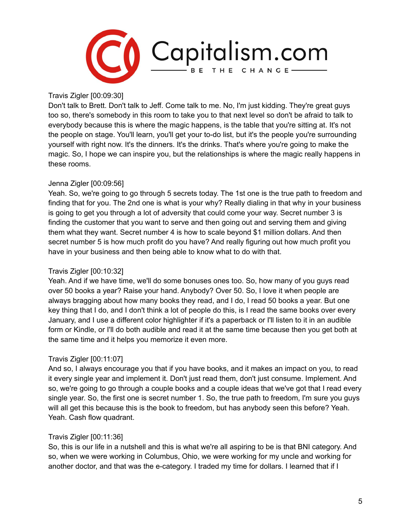

Travis Zigler [00:09:30]

Don't talk to Brett. Don't talk to Jeff. Come talk to me. No, I'm just kidding. They're great guys too so, there's somebody in this room to take you to that next level so don't be afraid to talk to everybody because this is where the magic happens, is the table that you're sitting at. It's not the people on stage. You'll learn, you'll get your to-do list, but it's the people you're surrounding yourself with right now. It's the dinners. It's the drinks. That's where you're going to make the magic. So, I hope we can inspire you, but the relationships is where the magic really happens in these rooms.

# Jenna Zigler [00:09:56]

Yeah. So, we're going to go through 5 secrets today. The 1st one is the true path to freedom and finding that for you. The 2nd one is what is your why? Really dialing in that why in your business is going to get you through a lot of adversity that could come your way. Secret number 3 is finding the customer that you want to serve and then going out and serving them and giving them what they want. Secret number 4 is how to scale beyond \$1 million dollars. And then secret number 5 is how much profit do you have? And really figuring out how much profit you have in your business and then being able to know what to do with that.

### Travis Zigler [00:10:32]

Yeah. And if we have time, we'll do some bonuses ones too. So, how many of you guys read over 50 books a year? Raise your hand. Anybody? Over 50. So, I love it when people are always bragging about how many books they read, and I do, I read 50 books a year. But one key thing that I do, and I don't think a lot of people do this, is I read the same books over every January, and I use a different color highlighter if it's a paperback or I'll listen to it in an audible form or Kindle, or I'll do both audible and read it at the same time because then you get both at the same time and it helps you memorize it even more.

### Travis Zigler [00:11:07]

And so, I always encourage you that if you have books, and it makes an impact on you, to read it every single year and implement it. Don't just read them, don't just consume. Implement. And so, we're going to go through a couple books and a couple ideas that we've got that I read every single year. So, the first one is secret number 1. So, the true path to freedom, I'm sure you guys will all get this because this is the book to freedom, but has anybody seen this before? Yeah. Yeah. Cash flow quadrant.

### Travis Zigler [00:11:36]

So, this is our life in a nutshell and this is what we're all aspiring to be is that BNI category. And so, when we were working in Columbus, Ohio, we were working for my uncle and working for another doctor, and that was the e-category. I traded my time for dollars. I learned that if I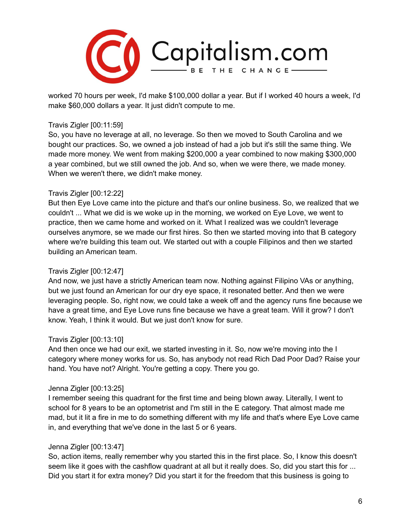

worked 70 hours per week, I'd make \$100,000 dollar a year. But if I worked 40 hours a week, I'd make \$60,000 dollars a year. It just didn't compute to me.

#### Travis Zigler [00:11:59]

So, you have no leverage at all, no leverage. So then we moved to South Carolina and we bought our practices. So, we owned a job instead of had a job but it's still the same thing. We made more money. We went from making \$200,000 a year combined to now making \$300,000 a year combined, but we still owned the job. And so, when we were there, we made money. When we weren't there, we didn't make money.

#### Travis Zigler [00:12:22]

But then Eye Love came into the picture and that's our online business. So, we realized that we couldn't ... What we did is we woke up in the morning, we worked on Eye Love, we went to practice, then we came home and worked on it. What I realized was we couldn't leverage ourselves anymore, se we made our first hires. So then we started moving into that B category where we're building this team out. We started out with a couple Filipinos and then we started building an American team.

### Travis Zigler [00:12:47]

And now, we just have a strictly American team now. Nothing against Filipino VAs or anything, but we just found an American for our dry eye space, it resonated better. And then we were leveraging people. So, right now, we could take a week off and the agency runs fine because we have a great time, and Eye Love runs fine because we have a great team. Will it grow? I don't know. Yeah, I think it would. But we just don't know for sure.

### Travis Zigler [00:13:10]

And then once we had our exit, we started investing in it. So, now we're moving into the I category where money works for us. So, has anybody not read Rich Dad Poor Dad? Raise your hand. You have not? Alright. You're getting a copy. There you go.

#### Jenna Zigler [00:13:25]

I remember seeing this quadrant for the first time and being blown away. Literally, I went to school for 8 years to be an optometrist and I'm still in the E category. That almost made me mad, but it lit a fire in me to do something different with my life and that's where Eye Love came in, and everything that we've done in the last 5 or 6 years.

### Jenna Zigler [00:13:47]

So, action items, really remember why you started this in the first place. So, I know this doesn't seem like it goes with the cashflow quadrant at all but it really does. So, did you start this for ... Did you start it for extra money? Did you start it for the freedom that this business is going to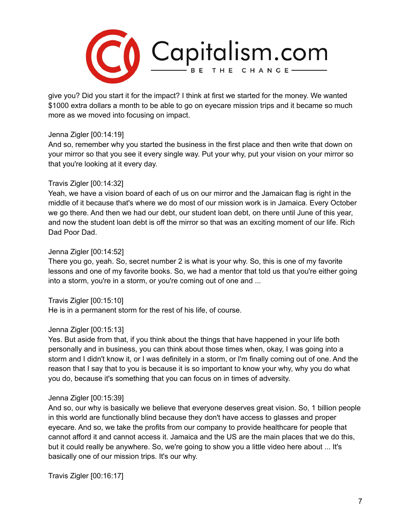

give you? Did you start it for the impact? I think at first we started for the money. We wanted \$1000 extra dollars a month to be able to go on eyecare mission trips and it became so much more as we moved into focusing on impact.

#### Jenna Zigler [00:14:19]

And so, remember why you started the business in the first place and then write that down on your mirror so that you see it every single way. Put your why, put your vision on your mirror so that you're looking at it every day.

#### Travis Zigler [00:14:32]

Yeah, we have a vision board of each of us on our mirror and the Jamaican flag is right in the middle of it because that's where we do most of our mission work is in Jamaica. Every October we go there. And then we had our debt, our student loan debt, on there until June of this year, and now the student loan debt is off the mirror so that was an exciting moment of our life. Rich Dad Poor Dad.

#### Jenna Zigler [00:14:52]

There you go, yeah. So, secret number 2 is what is your why. So, this is one of my favorite lessons and one of my favorite books. So, we had a mentor that told us that you're either going into a storm, you're in a storm, or you're coming out of one and ...

Travis Zigler [00:15:10]

He is in a permanent storm for the rest of his life, of course.

#### Jenna Zigler [00:15:13]

Yes. But aside from that, if you think about the things that have happened in your life both personally and in business, you can think about those times when, okay, I was going into a storm and I didn't know it, or I was definitely in a storm, or I'm finally coming out of one. And the reason that I say that to you is because it is so important to know your why, why you do what you do, because it's something that you can focus on in times of adversity.

#### Jenna Zigler [00:15:39]

And so, our why is basically we believe that everyone deserves great vision. So, 1 billion people in this world are functionally blind because they don't have access to glasses and proper eyecare. And so, we take the profits from our company to provide healthcare for people that cannot afford it and cannot access it. Jamaica and the US are the main places that we do this, but it could really be anywhere. So, we're going to show you a little video here about ... It's basically one of our mission trips. It's our why.

Travis Zigler [00:16:17]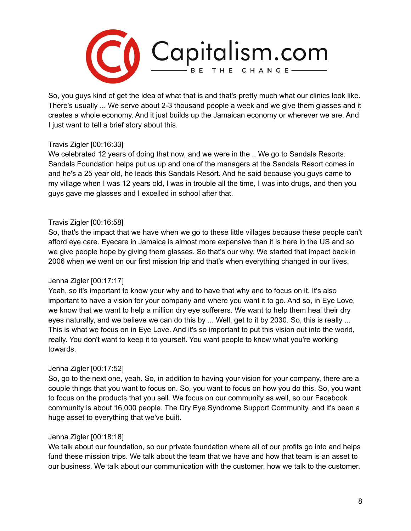

So, you guys kind of get the idea of what that is and that's pretty much what our clinics look like. There's usually ... We serve about 2-3 thousand people a week and we give them glasses and it creates a whole economy. And it just builds up the Jamaican economy or wherever we are. And I just want to tell a brief story about this.

### Travis Zigler [00:16:33]

We celebrated 12 years of doing that now, and we were in the .. We go to Sandals Resorts. Sandals Foundation helps put us up and one of the managers at the Sandals Resort comes in and he's a 25 year old, he leads this Sandals Resort. And he said because you guys came to my village when I was 12 years old, I was in trouble all the time, I was into drugs, and then you guys gave me glasses and I excelled in school after that.

# Travis Zigler [00:16:58]

So, that's the impact that we have when we go to these little villages because these people can't afford eye care. Eyecare in Jamaica is almost more expensive than it is here in the US and so we give people hope by giving them glasses. So that's our why. We started that impact back in 2006 when we went on our first mission trip and that's when everything changed in our lives.

# Jenna Zigler [00:17:17]

Yeah, so it's important to know your why and to have that why and to focus on it. It's also important to have a vision for your company and where you want it to go. And so, in Eye Love, we know that we want to help a million dry eye sufferers. We want to help them heal their dry eyes naturally, and we believe we can do this by ... Well, get to it by 2030. So, this is really ... This is what we focus on in Eye Love. And it's so important to put this vision out into the world, really. You don't want to keep it to yourself. You want people to know what you're working towards.

# Jenna Zigler [00:17:52]

So, go to the next one, yeah. So, in addition to having your vision for your company, there are a couple things that you want to focus on. So, you want to focus on how you do this. So, you want to focus on the products that you sell. We focus on our community as well, so our Facebook community is about 16,000 people. The Dry Eye Syndrome Support Community, and it's been a huge asset to everything that we've built.

### Jenna Zigler [00:18:18]

We talk about our foundation, so our private foundation where all of our profits go into and helps fund these mission trips. We talk about the team that we have and how that team is an asset to our business. We talk about our communication with the customer, how we talk to the customer.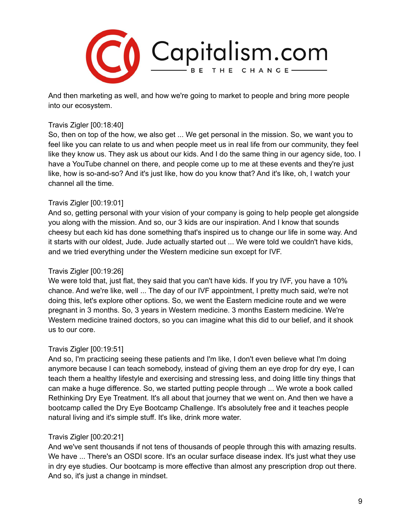

And then marketing as well, and how we're going to market to people and bring more people into our ecosystem.

#### Travis Zigler [00:18:40]

So, then on top of the how, we also get ... We get personal in the mission. So, we want you to feel like you can relate to us and when people meet us in real life from our community, they feel like they know us. They ask us about our kids. And I do the same thing in our agency side, too. I have a YouTube channel on there, and people come up to me at these events and they're just like, how is so-and-so? And it's just like, how do you know that? And it's like, oh, I watch your channel all the time.

### Travis Zigler [00:19:01]

And so, getting personal with your vision of your company is going to help people get alongside you along with the mission. And so, our 3 kids are our inspiration. And I know that sounds cheesy but each kid has done something that's inspired us to change our life in some way. And it starts with our oldest, Jude. Jude actually started out ... We were told we couldn't have kids, and we tried everything under the Western medicine sun except for IVF.

### Travis Zigler [00:19:26]

We were told that, just flat, they said that you can't have kids. If you try IVF, you have a 10% chance. And we're like, well ... The day of our IVF appointment, I pretty much said, we're not doing this, let's explore other options. So, we went the Eastern medicine route and we were pregnant in 3 months. So, 3 years in Western medicine. 3 months Eastern medicine. We're Western medicine trained doctors, so you can imagine what this did to our belief, and it shook us to our core.

### Travis Zigler [00:19:51]

And so, I'm practicing seeing these patients and I'm like, I don't even believe what I'm doing anymore because I can teach somebody, instead of giving them an eye drop for dry eye, I can teach them a healthy lifestyle and exercising and stressing less, and doing little tiny things that can make a huge difference. So, we started putting people through ... We wrote a book called Rethinking Dry Eye Treatment. It's all about that journey that we went on. And then we have a bootcamp called the Dry Eye Bootcamp Challenge. It's absolutely free and it teaches people natural living and it's simple stuff. It's like, drink more water.

### Travis Zigler [00:20:21]

And we've sent thousands if not tens of thousands of people through this with amazing results. We have ... There's an OSDI score. It's an ocular surface disease index. It's just what they use in dry eye studies. Our bootcamp is more effective than almost any prescription drop out there. And so, it's just a change in mindset.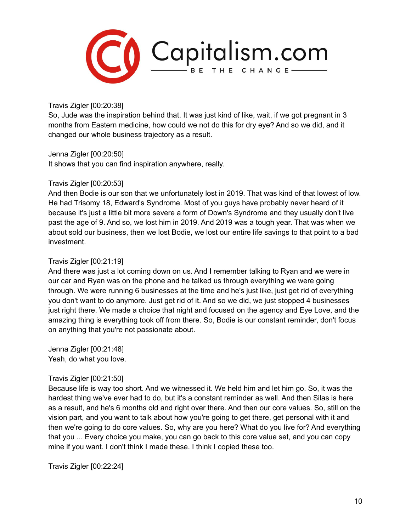

Travis Zigler [00:20:38]

So, Jude was the inspiration behind that. It was just kind of like, wait, if we got pregnant in 3 months from Eastern medicine, how could we not do this for dry eye? And so we did, and it changed our whole business trajectory as a result.

Jenna Zigler [00:20:50]

It shows that you can find inspiration anywhere, really.

### Travis Zigler [00:20:53]

And then Bodie is our son that we unfortunately lost in 2019. That was kind of that lowest of low. He had Trisomy 18, Edward's Syndrome. Most of you guys have probably never heard of it because it's just a little bit more severe a form of Down's Syndrome and they usually don't live past the age of 9. And so, we lost him in 2019. And 2019 was a tough year. That was when we about sold our business, then we lost Bodie, we lost our entire life savings to that point to a bad investment.

# Travis Zigler [00:21:19]

And there was just a lot coming down on us. And I remember talking to Ryan and we were in our car and Ryan was on the phone and he talked us through everything we were going through. We were running 6 businesses at the time and he's just like, just get rid of everything you don't want to do anymore. Just get rid of it. And so we did, we just stopped 4 businesses just right there. We made a choice that night and focused on the agency and Eye Love, and the amazing thing is everything took off from there. So, Bodie is our constant reminder, don't focus on anything that you're not passionate about.

Jenna Zigler [00:21:48] Yeah, do what you love.

### Travis Zigler [00:21:50]

Because life is way too short. And we witnessed it. We held him and let him go. So, it was the hardest thing we've ever had to do, but it's a constant reminder as well. And then Silas is here as a result, and he's 6 months old and right over there. And then our core values. So, still on the vision part, and you want to talk about how you're going to get there, get personal with it and then we're going to do core values. So, why are you here? What do you live for? And everything that you ... Every choice you make, you can go back to this core value set, and you can copy mine if you want. I don't think I made these. I think I copied these too.

Travis Zigler [00:22:24]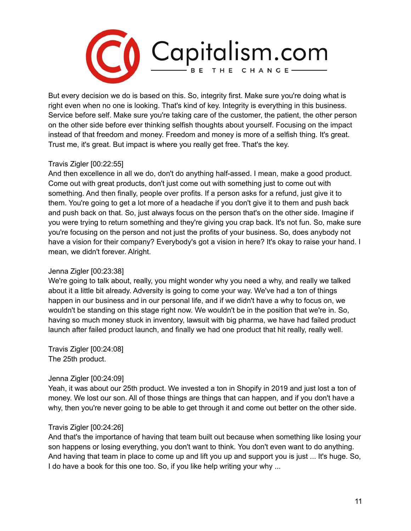

But every decision we do is based on this. So, integrity first. Make sure you're doing what is right even when no one is looking. That's kind of key. Integrity is everything in this business. Service before self. Make sure you're taking care of the customer, the patient, the other person on the other side before ever thinking selfish thoughts about yourself. Focusing on the impact instead of that freedom and money. Freedom and money is more of a selfish thing. It's great. Trust me, it's great. But impact is where you really get free. That's the key.

# Travis Zigler [00:22:55]

And then excellence in all we do, don't do anything half-assed. I mean, make a good product. Come out with great products, don't just come out with something just to come out with something. And then finally, people over profits. If a person asks for a refund, just give it to them. You're going to get a lot more of a headache if you don't give it to them and push back and push back on that. So, just always focus on the person that's on the other side. Imagine if you were trying to return something and they're giving you crap back. It's not fun. So, make sure you're focusing on the person and not just the profits of your business. So, does anybody not have a vision for their company? Everybody's got a vision in here? It's okay to raise your hand. I mean, we didn't forever. Alright.

### Jenna Zigler [00:23:38]

We're going to talk about, really, you might wonder why you need a why, and really we talked about it a little bit already. Adversity is going to come your way. We've had a ton of things happen in our business and in our personal life, and if we didn't have a why to focus on, we wouldn't be standing on this stage right now. We wouldn't be in the position that we're in. So, having so much money stuck in inventory, lawsuit with big pharma, we have had failed product launch after failed product launch, and finally we had one product that hit really, really well.

Travis Zigler [00:24:08] The 25th product.

### Jenna Zigler [00:24:09]

Yeah, it was about our 25th product. We invested a ton in Shopify in 2019 and just lost a ton of money. We lost our son. All of those things are things that can happen, and if you don't have a why, then you're never going to be able to get through it and come out better on the other side.

### Travis Zigler [00:24:26]

And that's the importance of having that team built out because when something like losing your son happens or losing everything, you don't want to think. You don't even want to do anything. And having that team in place to come up and lift you up and support you is just ... It's huge. So, I do have a book for this one too. So, if you like help writing your why ...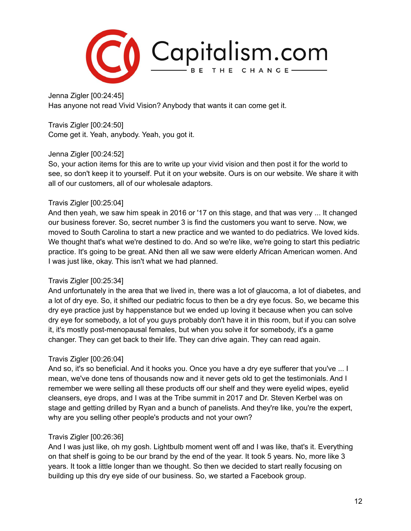

Jenna Zigler [00:24:45] Has anyone not read Vivid Vision? Anybody that wants it can come get it.

Travis Zigler [00:24:50] Come get it. Yeah, anybody. Yeah, you got it.

### Jenna Zigler [00:24:52]

So, your action items for this are to write up your vivid vision and then post it for the world to see, so don't keep it to yourself. Put it on your website. Ours is on our website. We share it with all of our customers, all of our wholesale adaptors.

### Travis Zigler [00:25:04]

And then yeah, we saw him speak in 2016 or '17 on this stage, and that was very ... It changed our business forever. So, secret number 3 is find the customers you want to serve. Now, we moved to South Carolina to start a new practice and we wanted to do pediatrics. We loved kids. We thought that's what we're destined to do. And so we're like, we're going to start this pediatric practice. It's going to be great. ANd then all we saw were elderly African American women. And I was just like, okay. This isn't what we had planned.

### Travis Zigler [00:25:34]

And unfortunately in the area that we lived in, there was a lot of glaucoma, a lot of diabetes, and a lot of dry eye. So, it shifted our pediatric focus to then be a dry eye focus. So, we became this dry eye practice just by happenstance but we ended up loving it because when you can solve dry eye for somebody, a lot of you guys probably don't have it in this room, but if you can solve it, it's mostly post-menopausal females, but when you solve it for somebody, it's a game changer. They can get back to their life. They can drive again. They can read again.

# Travis Zigler [00:26:04]

And so, it's so beneficial. And it hooks you. Once you have a dry eye sufferer that you've ... I mean, we've done tens of thousands now and it never gets old to get the testimonials. And I remember we were selling all these products off our shelf and they were eyelid wipes, eyelid cleansers, eye drops, and I was at the Tribe summit in 2017 and Dr. Steven Kerbel was on stage and getting drilled by Ryan and a bunch of panelists. And they're like, you're the expert, why are you selling other people's products and not your own?

### Travis Zigler [00:26:36]

And I was just like, oh my gosh. Lightbulb moment went off and I was like, that's it. Everything on that shelf is going to be our brand by the end of the year. It took 5 years. No, more like 3 years. It took a little longer than we thought. So then we decided to start really focusing on building up this dry eye side of our business. So, we started a Facebook group.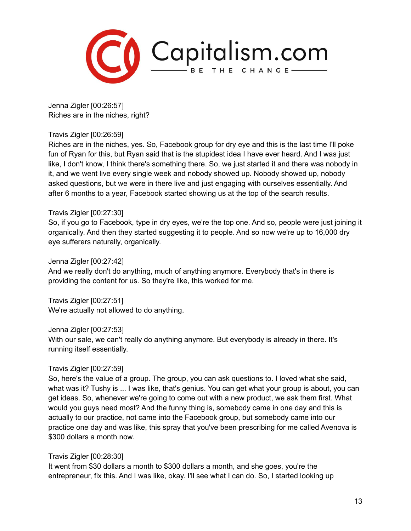

Jenna Zigler [00:26:57] Riches are in the niches, right?

#### Travis Zigler [00:26:59]

Riches are in the niches, yes. So, Facebook group for dry eye and this is the last time I'll poke fun of Ryan for this, but Ryan said that is the stupidest idea I have ever heard. And I was just like, I don't know, I think there's something there. So, we just started it and there was nobody in it, and we went live every single week and nobody showed up. Nobody showed up, nobody asked questions, but we were in there live and just engaging with ourselves essentially. And after 6 months to a year, Facebook started showing us at the top of the search results.

#### Travis Zigler [00:27:30]

So, if you go to Facebook, type in dry eyes, we're the top one. And so, people were just joining it organically. And then they started suggesting it to people. And so now we're up to 16,000 dry eye sufferers naturally, organically.

Jenna Zigler [00:27:42]

And we really don't do anything, much of anything anymore. Everybody that's in there is providing the content for us. So they're like, this worked for me.

Travis Zigler [00:27:51] We're actually not allowed to do anything.

Jenna Zigler [00:27:53]

With our sale, we can't really do anything anymore. But everybody is already in there. It's running itself essentially.

### Travis Zigler [00:27:59]

So, here's the value of a group. The group, you can ask questions to. I loved what she said, what was it? Tushy is ... I was like, that's genius. You can get what your group is about, you can get ideas. So, whenever we're going to come out with a new product, we ask them first. What would you guys need most? And the funny thing is, somebody came in one day and this is actually to our practice, not came into the Facebook group, but somebody came into our practice one day and was like, this spray that you've been prescribing for me called Avenova is \$300 dollars a month now.

### Travis Zigler [00:28:30]

It went from \$30 dollars a month to \$300 dollars a month, and she goes, you're the entrepreneur, fix this. And I was like, okay. I'll see what I can do. So, I started looking up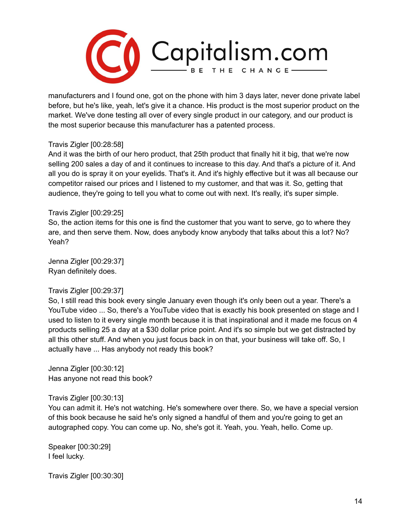

manufacturers and I found one, got on the phone with him 3 days later, never done private label before, but he's like, yeah, let's give it a chance. His product is the most superior product on the market. We've done testing all over of every single product in our category, and our product is the most superior because this manufacturer has a patented process.

#### Travis Zigler [00:28:58]

And it was the birth of our hero product, that 25th product that finally hit it big, that we're now selling 200 sales a day of and it continues to increase to this day. And that's a picture of it. And all you do is spray it on your eyelids. That's it. And it's highly effective but it was all because our competitor raised our prices and I listened to my customer, and that was it. So, getting that audience, they're going to tell you what to come out with next. It's really, it's super simple.

#### Travis Zigler [00:29:25]

So, the action items for this one is find the customer that you want to serve, go to where they are, and then serve them. Now, does anybody know anybody that talks about this a lot? No? Yeah?

Jenna Zigler [00:29:37] Ryan definitely does.

#### Travis Zigler [00:29:37]

So, I still read this book every single January even though it's only been out a year. There's a YouTube video ... So, there's a YouTube video that is exactly his book presented on stage and I used to listen to it every single month because it is that inspirational and it made me focus on 4 products selling 25 a day at a \$30 dollar price point. And it's so simple but we get distracted by all this other stuff. And when you just focus back in on that, your business will take off. So, I actually have ... Has anybody not ready this book?

Jenna Zigler [00:30:12] Has anyone not read this book?

#### Travis Zigler [00:30:13]

You can admit it. He's not watching. He's somewhere over there. So, we have a special version of this book because he said he's only signed a handful of them and you're going to get an autographed copy. You can come up. No, she's got it. Yeah, you. Yeah, hello. Come up.

Speaker [00:30:29] I feel lucky.

Travis Zigler [00:30:30]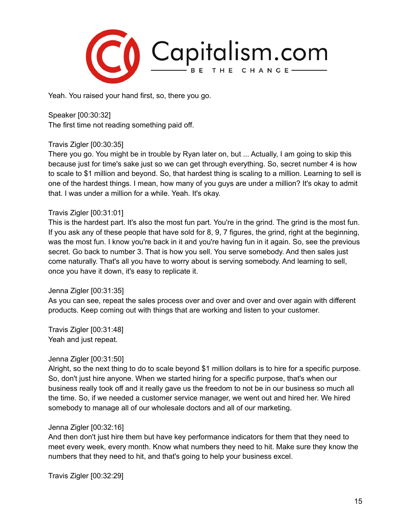

Yeah. You raised your hand first, so, there you go.

Speaker [00:30:32] The first time not reading something paid off.

#### Travis Zigler [00:30:35]

There you go. You might be in trouble by Ryan later on, but ... Actually, I am going to skip this because just for time's sake just so we can get through everything. So, secret number 4 is how to scale to \$1 million and beyond. So, that hardest thing is scaling to a million. Learning to sell is one of the hardest things. I mean, how many of you guys are under a million? It's okay to admit that. I was under a million for a while. Yeah. It's okay.

#### Travis Zigler [00:31:01]

This is the hardest part. It's also the most fun part. You're in the grind. The grind is the most fun. If you ask any of these people that have sold for 8, 9, 7 figures, the grind, right at the beginning, was the most fun. I know you're back in it and you're having fun in it again. So, see the previous secret. Go back to number 3. That is how you sell. You serve somebody. And then sales just come naturally. That's all you have to worry about is serving somebody. And learning to sell, once you have it down, it's easy to replicate it.

#### Jenna Zigler [00:31:35]

As you can see, repeat the sales process over and over and over and over again with different products. Keep coming out with things that are working and listen to your customer.

Travis Zigler [00:31:48] Yeah and just repeat.

#### Jenna Zigler [00:31:50]

Alright, so the next thing to do to scale beyond \$1 million dollars is to hire for a specific purpose. So, don't just hire anyone. When we started hiring for a specific purpose, that's when our business really took off and it really gave us the freedom to not be in our business so much all the time. So, if we needed a customer service manager, we went out and hired her. We hired somebody to manage all of our wholesale doctors and all of our marketing.

#### Jenna Zigler [00:32:16]

And then don't just hire them but have key performance indicators for them that they need to meet every week, every month. Know what numbers they need to hit. Make sure they know the numbers that they need to hit, and that's going to help your business excel.

Travis Zigler [00:32:29]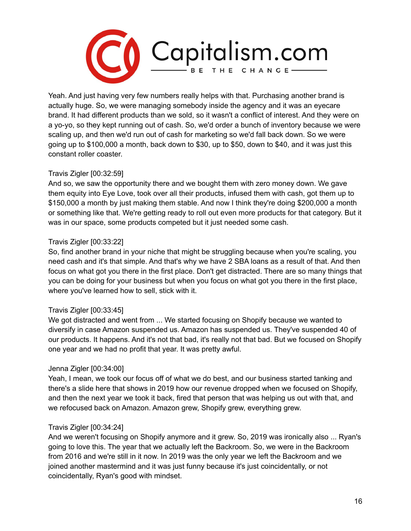

Yeah. And just having very few numbers really helps with that. Purchasing another brand is actually huge. So, we were managing somebody inside the agency and it was an eyecare brand. It had different products than we sold, so it wasn't a conflict of interest. And they were on a yo-yo, so they kept running out of cash. So, we'd order a bunch of inventory because we were scaling up, and then we'd run out of cash for marketing so we'd fall back down. So we were going up to \$100,000 a month, back down to \$30, up to \$50, down to \$40, and it was just this constant roller coaster.

### Travis Zigler [00:32:59]

And so, we saw the opportunity there and we bought them with zero money down. We gave them equity into Eye Love, took over all their products, infused them with cash, got them up to \$150,000 a month by just making them stable. And now I think they're doing \$200,000 a month or something like that. We're getting ready to roll out even more products for that category. But it was in our space, some products competed but it just needed some cash.

#### Travis Zigler [00:33:22]

So, find another brand in your niche that might be struggling because when you're scaling, you need cash and it's that simple. And that's why we have 2 SBA loans as a result of that. And then focus on what got you there in the first place. Don't get distracted. There are so many things that you can be doing for your business but when you focus on what got you there in the first place, where you've learned how to sell, stick with it.

#### Travis Zigler [00:33:45]

We got distracted and went from ... We started focusing on Shopify because we wanted to diversify in case Amazon suspended us. Amazon has suspended us. They've suspended 40 of our products. It happens. And it's not that bad, it's really not that bad. But we focused on Shopify one year and we had no profit that year. It was pretty awful.

#### Jenna Zigler [00:34:00]

Yeah, I mean, we took our focus off of what we do best, and our business started tanking and there's a slide here that shows in 2019 how our revenue dropped when we focused on Shopify, and then the next year we took it back, fired that person that was helping us out with that, and we refocused back on Amazon. Amazon grew, Shopify grew, everything grew.

### Travis Zigler [00:34:24]

And we weren't focusing on Shopify anymore and it grew. So, 2019 was ironically also ... Ryan's going to love this. The year that we actually left the Backroom. So, we were in the Backroom from 2016 and we're still in it now. In 2019 was the only year we left the Backroom and we joined another mastermind and it was just funny because it's just coincidentally, or not coincidentally, Ryan's good with mindset.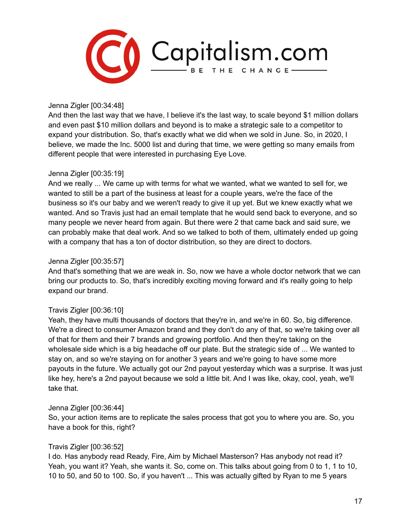

Jenna Zigler [00:34:48]

And then the last way that we have, I believe it's the last way, to scale beyond \$1 million dollars and even past \$10 million dollars and beyond is to make a strategic sale to a competitor to expand your distribution. So, that's exactly what we did when we sold in June. So, in 2020, I believe, we made the Inc. 5000 list and during that time, we were getting so many emails from different people that were interested in purchasing Eye Love.

#### Jenna Zigler [00:35:19]

And we really ... We came up with terms for what we wanted, what we wanted to sell for, we wanted to still be a part of the business at least for a couple years, we're the face of the business so it's our baby and we weren't ready to give it up yet. But we knew exactly what we wanted. And so Travis just had an email template that he would send back to everyone, and so many people we never heard from again. But there were 2 that came back and said sure, we can probably make that deal work. And so we talked to both of them, ultimately ended up going with a company that has a ton of doctor distribution, so they are direct to doctors.

#### Jenna Zigler [00:35:57]

And that's something that we are weak in. So, now we have a whole doctor network that we can bring our products to. So, that's incredibly exciting moving forward and it's really going to help expand our brand.

### Travis Zigler [00:36:10]

Yeah, they have multi thousands of doctors that they're in, and we're in 60. So, big difference. We're a direct to consumer Amazon brand and they don't do any of that, so we're taking over all of that for them and their 7 brands and growing portfolio. And then they're taking on the wholesale side which is a big headache off our plate. But the strategic side of ... We wanted to stay on, and so we're staying on for another 3 years and we're going to have some more payouts in the future. We actually got our 2nd payout yesterday which was a surprise. It was just like hey, here's a 2nd payout because we sold a little bit. And I was like, okay, cool, yeah, we'll take that.

#### Jenna Zigler [00:36:44]

So, your action items are to replicate the sales process that got you to where you are. So, you have a book for this, right?

#### Travis Zigler [00:36:52]

I do. Has anybody read Ready, Fire, Aim by Michael Masterson? Has anybody not read it? Yeah, you want it? Yeah, she wants it. So, come on. This talks about going from 0 to 1, 1 to 10, 10 to 50, and 50 to 100. So, if you haven't ... This was actually gifted by Ryan to me 5 years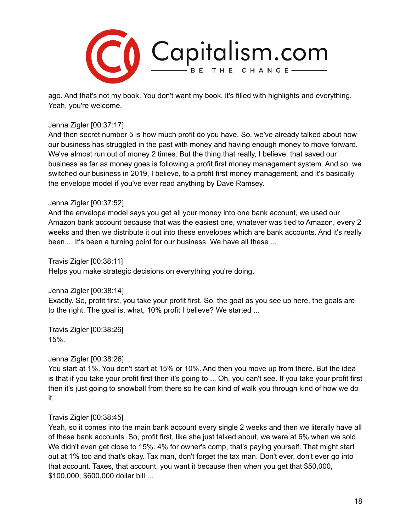

ago. And that's not my book. You don't want my book, it's filled with highlights and everything. Yeah, you're welcome.

#### Jenna Zigler [00:37:17]

And then secret number 5 is how much profit do you have. So, we've already talked about how our business has struggled in the past with money and having enough money to move forward. We've almost run out of money 2 times. But the thing that really, I believe, that saved our business as far as money goes is following a profit first money management system. And so, we switched our business in 2019, I believe, to a profit first money management, and it's basically the envelope model if you've ever read anything by Dave Ramsey.

### Jenna Zigler [00:37:52]

And the envelope model says you get all your money into one bank account, we used our Amazon bank account because that was the easiest one, whatever was tied to Amazon, every 2 weeks and then we distribute it out into these envelopes which are bank accounts. And it's really been ... It's been a turning point for our business. We have all these ...

Travis Zigler [00:38:11]

Helps you make strategic decisions on everything you're doing.

Jenna Zigler [00:38:14]

Exactly. So, profit first, you take your profit first. So, the goal as you see up here, the goals are to the right. The goal is, what, 10% profit I believe? We started ...

Travis Zigler [00:38:26] 15%.

Jenna Zigler [00:38:26]

You start at 1%. You don't start at 15% or 10%. And then you move up from there. But the idea is that if you take your profit first then it's going to ... Oh, you can't see. If you take your profit first then it's just going to snowball from there so he can kind of walk you through kind of how we do it.

### Travis Zigler [00:38:45]

Yeah, so it comes into the main bank account every single 2 weeks and then we literally have all of these bank accounts. So, profit first, like she just talked about, we were at 6% when we sold. We didn't even get close to 15%. 4% for owner's comp, that's paying yourself. That might start out at 1% too and that's okay. Tax man, don't forget the tax man. Don't ever, don't ever go into that account. Taxes, that account, you want it because then when you get that \$50,000, \$100,000, \$600,000 dollar bill ...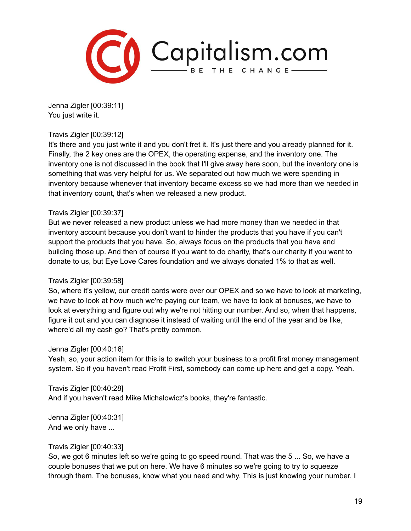

Jenna Zigler [00:39:11] You just write it.

#### Travis Zigler [00:39:12]

It's there and you just write it and you don't fret it. It's just there and you already planned for it. Finally, the 2 key ones are the OPEX, the operating expense, and the inventory one. The inventory one is not discussed in the book that I'll give away here soon, but the inventory one is something that was very helpful for us. We separated out how much we were spending in inventory because whenever that inventory became excess so we had more than we needed in that inventory count, that's when we released a new product.

#### Travis Zigler [00:39:37]

But we never released a new product unless we had more money than we needed in that inventory account because you don't want to hinder the products that you have if you can't support the products that you have. So, always focus on the products that you have and building those up. And then of course if you want to do charity, that's our charity if you want to donate to us, but Eye Love Cares foundation and we always donated 1% to that as well.

### Travis Zigler [00:39:58]

So, where it's yellow, our credit cards were over our OPEX and so we have to look at marketing, we have to look at how much we're paying our team, we have to look at bonuses, we have to look at everything and figure out why we're not hitting our number. And so, when that happens, figure it out and you can diagnose it instead of waiting until the end of the year and be like, where'd all my cash go? That's pretty common.

### Jenna Zigler [00:40:16]

Yeah, so, your action item for this is to switch your business to a profit first money management system. So if you haven't read Profit First, somebody can come up here and get a copy. Yeah.

Travis Zigler [00:40:28]

And if you haven't read Mike Michalowicz's books, they're fantastic.

Jenna Zigler [00:40:31] And we only have ...

#### Travis Zigler [00:40:33]

So, we got 6 minutes left so we're going to go speed round. That was the 5 ... So, we have a couple bonuses that we put on here. We have 6 minutes so we're going to try to squeeze through them. The bonuses, know what you need and why. This is just knowing your number. I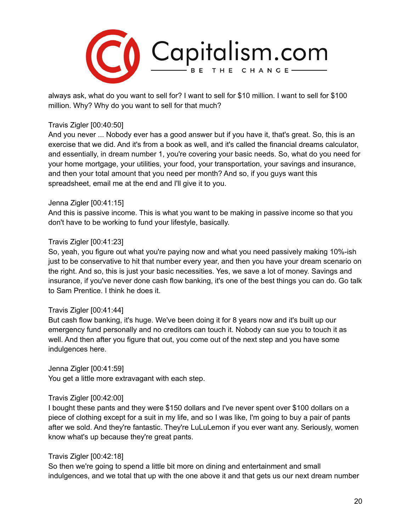

always ask, what do you want to sell for? I want to sell for \$10 million. I want to sell for \$100 million. Why? Why do you want to sell for that much?

#### Travis Zigler [00:40:50]

And you never ... Nobody ever has a good answer but if you have it, that's great. So, this is an exercise that we did. And it's from a book as well, and it's called the financial dreams calculator, and essentially, in dream number 1, you're covering your basic needs. So, what do you need for your home mortgage, your utilities, your food, your transportation, your savings and insurance, and then your total amount that you need per month? And so, if you guys want this spreadsheet, email me at the end and I'll give it to you.

#### Jenna Zigler [00:41:15]

And this is passive income. This is what you want to be making in passive income so that you don't have to be working to fund your lifestyle, basically.

#### Travis Zigler [00:41:23]

So, yeah, you figure out what you're paying now and what you need passively making 10%-ish just to be conservative to hit that number every year, and then you have your dream scenario on the right. And so, this is just your basic necessities. Yes, we save a lot of money. Savings and insurance, if you've never done cash flow banking, it's one of the best things you can do. Go talk to Sam Prentice. I think he does it.

#### Travis Zigler [00:41:44]

But cash flow banking, it's huge. We've been doing it for 8 years now and it's built up our emergency fund personally and no creditors can touch it. Nobody can sue you to touch it as well. And then after you figure that out, you come out of the next step and you have some indulgences here.

Jenna Zigler [00:41:59]

You get a little more extravagant with each step.

#### Travis Zigler [00:42:00]

I bought these pants and they were \$150 dollars and I've never spent over \$100 dollars on a piece of clothing except for a suit in my life, and so I was like, I'm going to buy a pair of pants after we sold. And they're fantastic. They're LuLuLemon if you ever want any. Seriously, women know what's up because they're great pants.

#### Travis Zigler [00:42:18]

So then we're going to spend a little bit more on dining and entertainment and small indulgences, and we total that up with the one above it and that gets us our next dream number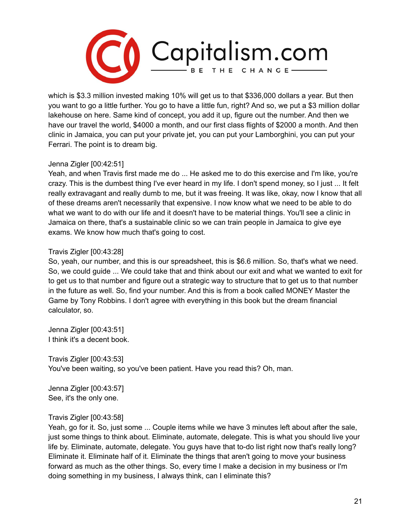

which is \$3.3 million invested making 10% will get us to that \$336,000 dollars a year. But then you want to go a little further. You go to have a little fun, right? And so, we put a \$3 million dollar lakehouse on here. Same kind of concept, you add it up, figure out the number. And then we have our travel the world, \$4000 a month, and our first class flights of \$2000 a month. And then clinic in Jamaica, you can put your private jet, you can put your Lamborghini, you can put your Ferrari. The point is to dream big.

### Jenna Zigler [00:42:51]

Yeah, and when Travis first made me do ... He asked me to do this exercise and I'm like, you're crazy. This is the dumbest thing I've ever heard in my life. I don't spend money, so I just ... It felt really extravagant and really dumb to me, but it was freeing. It was like, okay, now I know that all of these dreams aren't necessarily that expensive. I now know what we need to be able to do what we want to do with our life and it doesn't have to be material things. You'll see a clinic in Jamaica on there, that's a sustainable clinic so we can train people in Jamaica to give eye exams. We know how much that's going to cost.

### Travis Zigler [00:43:28]

So, yeah, our number, and this is our spreadsheet, this is \$6.6 million. So, that's what we need. So, we could guide ... We could take that and think about our exit and what we wanted to exit for to get us to that number and figure out a strategic way to structure that to get us to that number in the future as well. So, find your number. And this is from a book called MONEY Master the Game by Tony Robbins. I don't agree with everything in this book but the dream financial calculator, so.

Jenna Zigler [00:43:51] I think it's a decent book.

Travis Zigler [00:43:53] You've been waiting, so you've been patient. Have you read this? Oh, man.

Jenna Zigler [00:43:57] See, it's the only one.

### Travis Zigler [00:43:58]

Yeah, go for it. So, just some ... Couple items while we have 3 minutes left about after the sale, just some things to think about. Eliminate, automate, delegate. This is what you should live your life by. Eliminate, automate, delegate. You guys have that to-do list right now that's really long? Eliminate it. Eliminate half of it. Eliminate the things that aren't going to move your business forward as much as the other things. So, every time I make a decision in my business or I'm doing something in my business, I always think, can I eliminate this?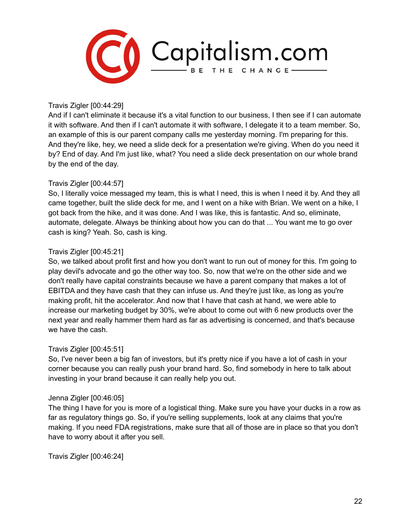

Travis Zigler [00:44:29]

And if I can't eliminate it because it's a vital function to our business, I then see if I can automate it with software. And then if I can't automate it with software, I delegate it to a team member. So, an example of this is our parent company calls me yesterday morning. I'm preparing for this. And they're like, hey, we need a slide deck for a presentation we're giving. When do you need it by? End of day. And I'm just like, what? You need a slide deck presentation on our whole brand by the end of the day.

### Travis Zigler [00:44:57]

So, I literally voice messaged my team, this is what I need, this is when I need it by. And they all came together, built the slide deck for me, and I went on a hike with Brian. We went on a hike, I got back from the hike, and it was done. And I was like, this is fantastic. And so, eliminate, automate, delegate. Always be thinking about how you can do that ... You want me to go over cash is king? Yeah. So, cash is king.

### Travis Zigler [00:45:21]

So, we talked about profit first and how you don't want to run out of money for this. I'm going to play devil's advocate and go the other way too. So, now that we're on the other side and we don't really have capital constraints because we have a parent company that makes a lot of EBITDA and they have cash that they can infuse us. And they're just like, as long as you're making profit, hit the accelerator. And now that I have that cash at hand, we were able to increase our marketing budget by 30%, we're about to come out with 6 new products over the next year and really hammer them hard as far as advertising is concerned, and that's because we have the cash.

### Travis Zigler [00:45:51]

So, I've never been a big fan of investors, but it's pretty nice if you have a lot of cash in your corner because you can really push your brand hard. So, find somebody in here to talk about investing in your brand because it can really help you out.

### Jenna Zigler [00:46:05]

The thing I have for you is more of a logistical thing. Make sure you have your ducks in a row as far as regulatory things go. So, if you're selling supplements, look at any claims that you're making. If you need FDA registrations, make sure that all of those are in place so that you don't have to worry about it after you sell.

Travis Zigler [00:46:24]